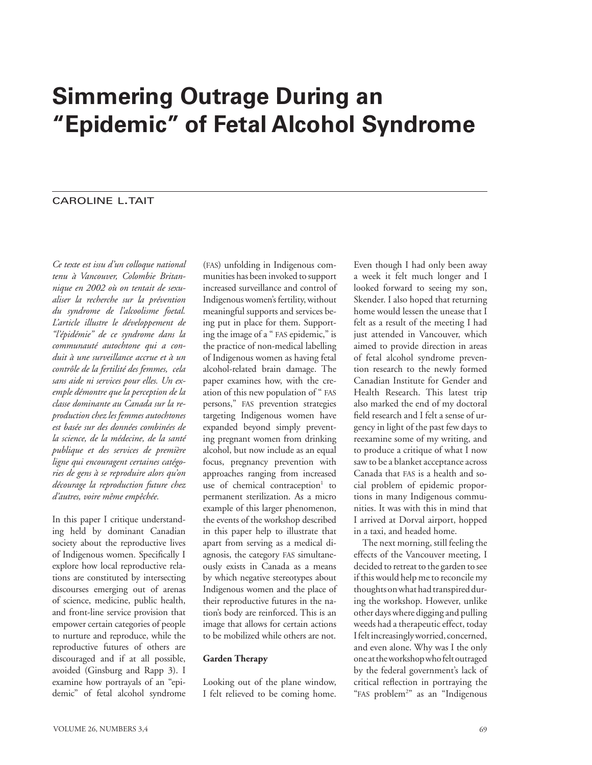# **Simmering Outrage During an "Epidemic" of Fetal Alcohol Syndrome**

# **CAROLINE L.TAIT**

*Ce texte est issu d'un colloque national tenu à Vancouver, Colombie Britannique en 2002 où on tentait de sexualiser la recherche sur la prévention du syndrome de l'alcoolisme foetal. L'article illustre le développement de "l'épidémie" de ce syndrome dans la communauté autochtone qui a conduit à une surveillance accrue et à un contrôle de la fertilité des femmes, cela sans aide ni services pour elles. Un exemple démontre que la perception de la classe dominante au Canada sur la reproduction chez les femmes autochtones est basée sur des données combinées de la science, de la médecine, de la santé publique et des services de première ligne qui encouragent certaines catégories de gens à se reproduire alors qu'on décourage la reproduction future chez d'autres, voire même empêchée.*

In this paper I critique understanding held by dominant Canadian society about the reproductive lives of Indigenous women. Specifically I explore how local reproductive relations are constituted by intersecting discourses emerging out of arenas of science, medicine, public health, and front-line service provision that empower certain categories of people to nurture and reproduce, while the reproductive futures of others are discouraged and if at all possible, avoided (Ginsburg and Rapp 3). I examine how portrayals of an "epidemic" of fetal alcohol syndrome

(fas) unfolding in Indigenous communities has been invoked to support increased surveillance and control of Indigenous women's fertility, without meaningful supports and services being put in place for them. Supporting the image of a " FAS epidemic," is the practice of non-medical labelling of Indigenous women as having fetal alcohol-related brain damage. The paper examines how, with the creation of this new population of " fas persons," fas prevention strategies targeting Indigenous women have expanded beyond simply preventing pregnant women from drinking alcohol, but now include as an equal focus, pregnancy prevention with approaches ranging from increased use of chemical contraception<sup>1</sup> to permanent sterilization. As a micro example of this larger phenomenon, the events of the workshop described in this paper help to illustrate that apart from serving as a medical diagnosis, the category fas simultaneously exists in Canada as a means by which negative stereotypes about Indigenous women and the place of their reproductive futures in the nation's body are reinforced. This is an image that allows for certain actions to be mobilized while others are not.

#### **Garden Therapy**

Looking out of the plane window, I felt relieved to be coming home. Even though I had only been away a week it felt much longer and I looked forward to seeing my son, Skender. I also hoped that returning home would lessen the unease that I felt as a result of the meeting I had just attended in Vancouver, which aimed to provide direction in areas of fetal alcohol syndrome prevention research to the newly formed Canadian Institute for Gender and Health Research. This latest trip also marked the end of my doctoral field research and I felt a sense of urgency in light of the past few days to reexamine some of my writing, and to produce a critique of what I now saw to be a blanket acceptance across Canada that fas is a health and social problem of epidemic proportions in many Indigenous communities. It was with this in mind that I arrived at Dorval airport, hopped in a taxi, and headed home.

The next morning, still feeling the effects of the Vancouver meeting, I decided to retreat to the garden to see if this would help me to reconcile my thoughts on what had transpired during the workshop. However, unlike other days where digging and pulling weeds had a therapeutic effect, today I felt increasingly worried, concerned, and even alone. Why was I the only one at the workshop who felt outraged by the federal government's lack of critical reflection in portraying the "FAS problem<sup>2"</sup> as an "Indigenous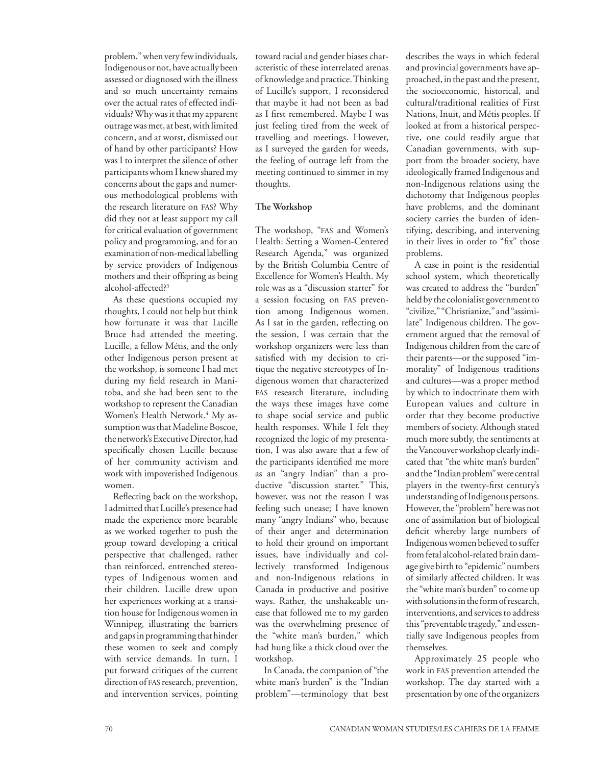problem," when very few individuals, Indigenous or not, have actually been assessed or diagnosed with the illness and so much uncertainty remains over the actual rates of effected individuals? Why was it that my apparent outrage was met, at best, with limited concern, and at worst, dismissed out of hand by other participants? How was I to interpret the silence of other participants whom I knew shared my concerns about the gaps and numerous methodological problems with the research literature on fas? Why did they not at least support my call for critical evaluation of government policy and programming, and for an examination of non-medical labelling by service providers of Indigenous mothers and their offspring as being alcohol-affected?3

As these questions occupied my thoughts, I could not help but think how fortunate it was that Lucille Bruce had attended the meeting. Lucille, a fellow Métis, and the only other Indigenous person present at the workshop, is someone I had met during my field research in Manitoba, and she had been sent to the workshop to represent the Canadian Women's Health Network.<sup>4</sup> My assumption was that Madeline Boscoe, the network's Executive Director, had specifically chosen Lucille because of her community activism and work with impoverished Indigenous women.

Reflecting back on the workshop, I admitted that Lucille's presence had made the experience more bearable as we worked together to push the group toward developing a critical perspective that challenged, rather than reinforced, entrenched stereotypes of Indigenous women and their children. Lucille drew upon her experiences working at a transition house for Indigenous women in Winnipeg, illustrating the barriers and gaps in programming that hinder these women to seek and comply with service demands. In turn, I put forward critiques of the current direction of fas research, prevention, and intervention services, pointing

toward racial and gender biases characteristic of these interrelated arenas of knowledge and practice. Thinking of Lucille's support, I reconsidered that maybe it had not been as bad as I first remembered. Maybe I was just feeling tired from the week of travelling and meetings. However, as I surveyed the garden for weeds, the feeling of outrage left from the meeting continued to simmer in my thoughts.

### **The Workshop**

The workshop, "FAS and Women's Health: Setting a Women-Centered Research Agenda," was organized by the British Columbia Centre of Excellence for Women's Health. My role was as a "discussion starter" for a session focusing on fas prevention among Indigenous women. As I sat in the garden, reflecting on the session, I was certain that the workshop organizers were less than satisfied with my decision to critique the negative stereotypes of Indigenous women that characterized fas research literature, including the ways these images have come to shape social service and public health responses. While I felt they recognized the logic of my presentation, I was also aware that a few of the participants identified me more as an "angry Indian" than a productive "discussion starter." This, however, was not the reason I was feeling such unease; I have known many "angry Indians" who, because of their anger and determination to hold their ground on important issues, have individually and collectively transformed Indigenous and non-Indigenous relations in Canada in productive and positive ways. Rather, the unshakeable unease that followed me to my garden was the overwhelming presence of the "white man's burden," which had hung like a thick cloud over the workshop.

In Canada, the companion of "the white man's burden" is the "Indian problem"—terminology that best

describes the ways in which federal and provincial governments have approached, in the past and the present, the socioeconomic, historical, and cultural/traditional realities of First Nations, Inuit, and Métis peoples. If looked at from a historical perspective, one could readily argue that Canadian governments, with support from the broader society, have ideologically framed Indigenous and non-Indigenous relations using the dichotomy that Indigenous peoples have problems, and the dominant society carries the burden of identifying, describing, and intervening in their lives in order to "fix" those problems.

A case in point is the residential school system, which theoretically was created to address the "burden" held by the colonialist government to "civilize," "Christianize," and "assimilate" Indigenous children. The government argued that the removal of Indigenous children from the care of their parents—or the supposed "immorality" of Indigenous traditions and cultures—was a proper method by which to indoctrinate them with European values and culture in order that they become productive members of society. Although stated much more subtly, the sentiments at the Vancouver workshop clearly indicated that "the white man's burden" and the "Indian problem" were central players in the twenty-first century's understanding of Indigenous persons. However, the "problem" here was not one of assimilation but of biological deficit whereby large numbers of Indigenous women believed to suffer from fetal alcohol-related brain damage give birth to "epidemic" numbers of similarly affected children. It was the "white man's burden" to come up with solutions in the form of research, interventions, and services to address this "preventable tragedy," and essentially save Indigenous peoples from themselves.

Approximately 25 people who work in fas prevention attended the workshop. The day started with a presentation by one of the organizers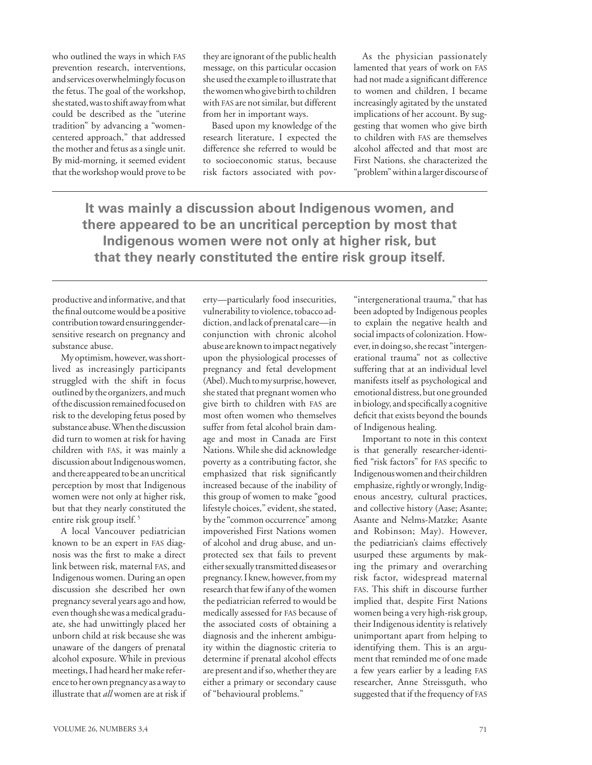who outlined the ways in which fas prevention research, interventions, and services overwhelmingly focus on the fetus. The goal of the workshop, she stated, was to shift away from what could be described as the "uterine tradition" by advancing a "womencentered approach," that addressed the mother and fetus as a single unit. By mid-morning, it seemed evident that the workshop would prove to be

they are ignorant of the public health message, on this particular occasion she used the example to illustrate that the women who give birth to children with fas are not similar, but different from her in important ways.

Based upon my knowledge of the research literature, I expected the difference she referred to would be to socioeconomic status, because risk factors associated with pov-

As the physician passionately lamented that years of work on fas had not made a significant difference to women and children, I became increasingly agitated by the unstated implications of her account. By suggesting that women who give birth to children with fas are themselves alcohol affected and that most are First Nations, she characterized the "problem" within a larger discourse of

**It was mainly a discussion about Indigenous women, and there appeared to be an uncritical perception by most that Indigenous women were not only at higher risk, but that they nearly constituted the entire risk group itself.**

productive and informative, and that the final outcome would be a positive contribution toward ensuring gendersensitive research on pregnancy and substance abuse.

My optimism, however, was shortlived as increasingly participants struggled with the shift in focus outlined by the organizers, and much of the discussion remained focused on risk to the developing fetus posed by substance abuse. When the discussion did turn to women at risk for having children with fas, it was mainly a discussion about Indigenous women, and there appeared to be an uncritical perception by most that Indigenous women were not only at higher risk, but that they nearly constituted the entire risk group itself. 5

A local Vancouver pediatrician known to be an expert in fas diagnosis was the first to make a direct link between risk, maternal fas, and Indigenous women. During an open discussion she described her own pregnancy several years ago and how, even though she was a medical graduate, she had unwittingly placed her unborn child at risk because she was unaware of the dangers of prenatal alcohol exposure. While in previous meetings, I had heard her make reference to her own pregnancy as a way to illustrate that *all* women are at risk if

erty—particularly food insecurities, vulnerability to violence, tobacco addiction, and lack of prenatal care—in conjunction with chronic alcohol abuse are known to impact negatively upon the physiological processes of pregnancy and fetal development (Abel). Much to my surprise, however, she stated that pregnant women who give birth to children with fas are most often women who themselves suffer from fetal alcohol brain damage and most in Canada are First Nations. While she did acknowledge poverty as a contributing factor, she emphasized that risk significantly increased because of the inability of this group of women to make "good lifestyle choices," evident, she stated, by the "common occurrence" among impoverished First Nations women of alcohol and drug abuse, and unprotected sex that fails to prevent either sexually transmitted diseases or pregnancy. I knew, however, from my research that few if any of the women the pediatrician referred to would be medically assessed for fas because of the associated costs of obtaining a diagnosis and the inherent ambiguity within the diagnostic criteria to determine if prenatal alcohol effects are present and if so, whether they are either a primary or secondary cause of "behavioural problems."

"intergenerational trauma," that has been adopted by Indigenous peoples to explain the negative health and social impacts of colonization. However, in doing so, she recast "intergenerational trauma" not as collective suffering that at an individual level manifests itself as psychological and emotional distress, but one grounded in biology, and specifically a cognitive deficit that exists beyond the bounds of Indigenous healing.

Important to note in this context is that generally researcher-identified "risk factors" for fas specific to Indigenous women and their children emphasize, rightly or wrongly, Indigenous ancestry, cultural practices, and collective history (Aase; Asante; Asante and Nelms-Matzke; Asante and Robinson; May). However, the pediatrician's claims effectively usurped these arguments by making the primary and overarching risk factor, widespread maternal fas. This shift in discourse further implied that, despite First Nations women being a very high-risk group, their Indigenous identity is relatively unimportant apart from helping to identifying them. This is an argument that reminded me of one made a few years earlier by a leading fas researcher, Anne Streissguth, who suggested that if the frequency of FAS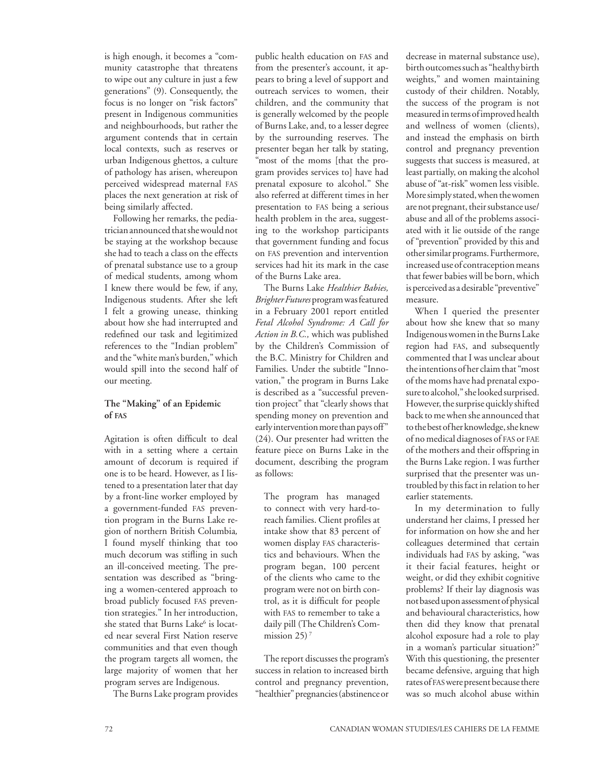is high enough, it becomes a "community catastrophe that threatens to wipe out any culture in just a few generations" (9). Consequently, the focus is no longer on "risk factors" present in Indigenous communities and neighbourhoods, but rather the argument contends that in certain local contexts, such as reserves or urban Indigenous ghettos, a culture of pathology has arisen, whereupon perceived widespread maternal fas places the next generation at risk of being similarly affected.

Following her remarks, the pediatrician announced that she would not be staying at the workshop because she had to teach a class on the effects of prenatal substance use to a group of medical students, among whom I knew there would be few, if any, Indigenous students. After she left I felt a growing unease, thinking about how she had interrupted and redefined our task and legitimized references to the "Indian problem" and the "white man's burden," which would spill into the second half of our meeting.

#### **The "Making" of an Epidemic of fas**

Agitation is often difficult to deal with in a setting where a certain amount of decorum is required if one is to be heard. However, as I listened to a presentation later that day by a front-line worker employed by a government-funded fas prevention program in the Burns Lake region of northern British Columbia*,* I found myself thinking that too much decorum was stifling in such an ill-conceived meeting. The presentation was described as "bringing a women-centered approach to broad publicly focused fas prevention strategies." In her introduction, she stated that Burns Lake<sup>6</sup> is located near several First Nation reserve communities and that even though the program targets all women, the large majority of women that her program serves are Indigenous.

The Burns Lake program provides

public health education on fas and from the presenter's account, it appears to bring a level of support and outreach services to women, their children, and the community that is generally welcomed by the people of Burns Lake, and, to a lesser degree by the surrounding reserves. The presenter began her talk by stating, "most of the moms [that the program provides services to] have had prenatal exposure to alcohol." She also referred at different times in her presentation to fas being a serious health problem in the area, suggesting to the workshop participants that government funding and focus on fas prevention and intervention services had hit its mark in the case of the Burns Lake area.

The Burns Lake *Healthier Babies, Brighter Futures* program was featured in a February 2001 report entitled *Fetal Alcohol Syndrome: A Call for Action in B.C.,* which was published by the Children's Commission of the B.C. Ministry for Children and Families. Under the subtitle "Innovation," the program in Burns Lake is described as a "successful prevention project" that "clearly shows that spending money on prevention and early intervention more than pays off" (24). Our presenter had written the feature piece on Burns Lake in the document, describing the program as follows:

The program has managed to connect with very hard-toreach families. Client profiles at intake show that 83 percent of women display FAS characteristics and behaviours. When the program began, 100 percent of the clients who came to the program were not on birth control, as it is difficult for people with fas to remember to take a daily pill (The Children's Commission  $25$ <sup>7</sup>

The report discusses the program's success in relation to increased birth control and pregnancy prevention, "healthier" pregnancies (abstinence or

decrease in maternal substance use), birth outcomes such as "healthy birth weights," and women maintaining custody of their children. Notably, the success of the program is not measured in terms of improved health and wellness of women (clients), and instead the emphasis on birth control and pregnancy prevention suggests that success is measured, at least partially, on making the alcohol abuse of "at-risk" women less visible. More simply stated, when the women are not pregnant, their substance use/ abuse and all of the problems associated with it lie outside of the range of "prevention" provided by this and other similar programs. Furthermore, increased use of contraception means that fewer babies will be born, which is perceived as a desirable "preventive" measure.

When I queried the presenter about how she knew that so many Indigenous women in the Burns Lake region had fas, and subsequently commented that I was unclear about the intentions of her claim that "most of the moms have had prenatal exposure to alcohol," she looked surprised. However, the surprise quickly shifted back to me when she announced that to the best of her knowledge, she knew of no medical diagnoses of fas or fae of the mothers and their offspring in the Burns Lake region. I was further surprised that the presenter was untroubled by this fact in relation to her earlier statements.

In my determination to fully understand her claims, I pressed her for information on how she and her colleagues determined that certain individuals had fas by asking, "was it their facial features, height or weight, or did they exhibit cognitive problems? If their lay diagnosis was not based upon assessment of physical and behavioural characteristics, how then did they know that prenatal alcohol exposure had a role to play in a woman's particular situation?" With this questioning, the presenter became defensive, arguing that high rates of fas were present because there was so much alcohol abuse within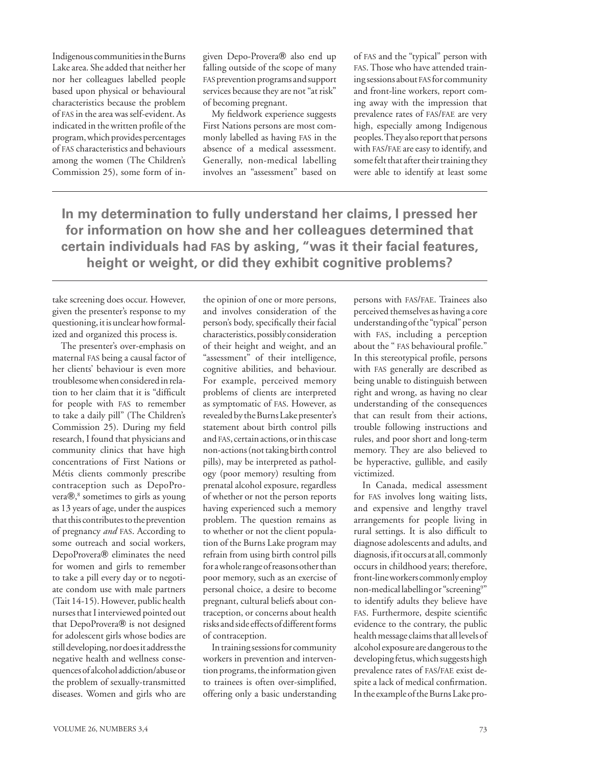Indigenous communities in the Burns Lake area. She added that neither her nor her colleagues labelled people based upon physical or behavioural characteristics because the problem of fas in the area was self-evident. As indicated in the written profile of the program, which provides percentages of fas characteristics and behaviours among the women (The Children's Commission 25), some form of ingiven Depo-Provera® also end up falling outside of the scope of many fas prevention programs and support services because they are not "at risk" of becoming pregnant.

My fieldwork experience suggests First Nations persons are most commonly labelled as having fas in the absence of a medical assessment. Generally, non-medical labelling involves an "assessment" based on of fas and the "typical" person with fas. Those who have attended training sessions about fas for community and front-line workers, report coming away with the impression that prevalence rates of fas/fae are very high, especially among Indigenous peoples. They also report that persons with fas/fae are easy to identify, and some felt that after their training they were able to identify at least some

**In my determination to fully understand her claims, I pressed her for information on how she and her colleagues determined that certain individuals had fas by asking, "was it their facial features, height or weight, or did they exhibit cognitive problems?**

take screening does occur. However, given the presenter's response to my questioning, it is unclear how formalized and organized this process is.

The presenter's over-emphasis on maternal fas being a causal factor of her clients' behaviour is even more troublesome when considered in relation to her claim that it is "difficult for people with fas to remember to take a daily pill" (The Children's Commission 25). During my field research, I found that physicians and community clinics that have high concentrations of First Nations or Métis clients commonly prescribe contraception such as DepoProvera®,<sup>8</sup> sometimes to girls as young as 13 years of age, under the auspices that this contributes to the prevention of pregnancy *and* fas. According to some outreach and social workers, DepoProvera® eliminates the need for women and girls to remember to take a pill every day or to negotiate condom use with male partners (Tait 14-15). However, public health nurses that I interviewed pointed out that DepoProvera<sup>®</sup> is not designed for adolescent girls whose bodies are still developing, nor does it address the negative health and wellness consequences of alcohol addiction/abuse or the problem of sexually-transmitted diseases. Women and girls who are

the opinion of one or more persons, and involves consideration of the person's body, specifically their facial characteristics, possibly consideration of their height and weight, and an "assessment" of their intelligence, cognitive abilities, and behaviour. For example, perceived memory problems of clients are interpreted as symptomatic of fas. However, as revealed by the Burns Lake presenter's statement about birth control pills and fas, certain actions, or in this case non-actions (not taking birth control pills), may be interpreted as pathology (poor memory) resulting from prenatal alcohol exposure, regardless of whether or not the person reports having experienced such a memory problem. The question remains as to whether or not the client population of the Burns Lake program may refrain from using birth control pills for a whole range of reasons other than poor memory, such as an exercise of personal choice, a desire to become pregnant, cultural beliefs about contraception, or concerns about health risks and side effects of different forms of contraception.

In training sessions for community workers in prevention and intervention programs, the information given to trainees is often over-simplified, offering only a basic understanding persons with fas/fae. Trainees also perceived themselves as having a core understanding of the "typical" person with fas, including a perception about the " fas behavioural profile." In this stereotypical profile, persons with fas generally are described as being unable to distinguish between right and wrong, as having no clear understanding of the consequences that can result from their actions, trouble following instructions and rules, and poor short and long-term memory. They are also believed to be hyperactive, gullible, and easily victimized.

In Canada, medical assessment for fas involves long waiting lists, and expensive and lengthy travel arrangements for people living in rural settings. It is also difficult to diagnose adolescents and adults, and diagnosis, if it occurs at all, commonly occurs in childhood years; therefore, front-line workers commonly employ non-medical labelling or "screening<sup>9"</sup> to identify adults they believe have fas. Furthermore, despite scientific evidence to the contrary, the public health message claims that all levels of alcohol exposure are dangerous to the developing fetus, which suggests high prevalence rates of fas/fae exist despite a lack of medical confirmation. In the example of the Burns Lake pro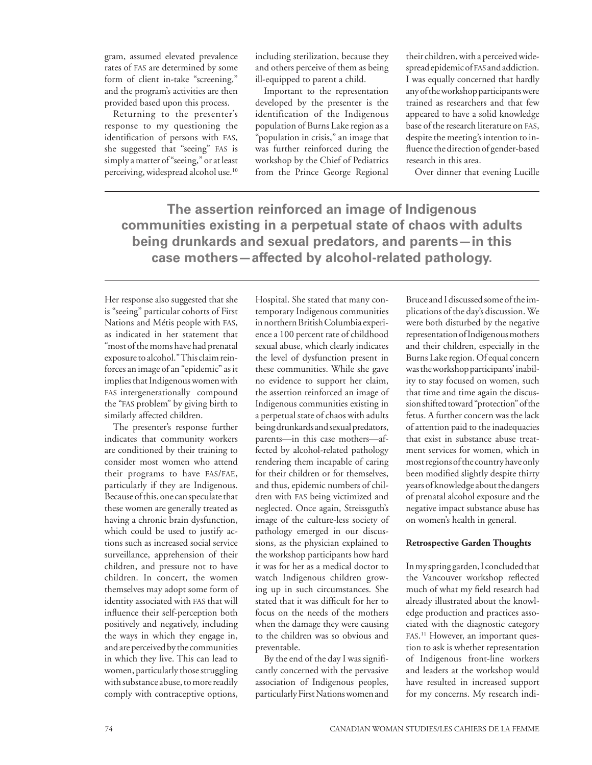gram, assumed elevated prevalence rates of fas are determined by some form of client in-take "screening," and the program's activities are then provided based upon this process.

Returning to the presenter's response to my questioning the identification of persons with fas, she suggested that "seeing" fas is simply a matter of "seeing," or at least perceiving, widespread alcohol use.10 including sterilization, because they and others perceive of them as being ill-equipped to parent a child.

Important to the representation developed by the presenter is the identification of the Indigenous population of Burns Lake region as a "population in crisis," an image that was further reinforced during the workshop by the Chief of Pediatrics from the Prince George Regional

their children, with a perceived widespread epidemic of fas and addiction. I was equally concerned that hardly any of the workshop participants were trained as researchers and that few appeared to have a solid knowledge base of the research literature on fas, despite the meeting's intention to influence the direction of gender-based research in this area.

Over dinner that evening Lucille

**The assertion reinforced an image of Indigenous communities existing in a perpetual state of chaos with adults being drunkards and sexual predators, and parents—in this case mothers—affected by alcohol-related pathology.** 

Her response also suggested that she is "seeing" particular cohorts of First Nations and Métis people with fas, as indicated in her statement that "most of the moms have had prenatal exposure to alcohol." This claim reinforces an image of an "epidemic" as it implies that Indigenous women with fas intergenerationally compound the "fas problem" by giving birth to similarly affected children.

The presenter's response further indicates that community workers are conditioned by their training to consider most women who attend their programs to have fas/fae, particularly if they are Indigenous. Because of this, one can speculate that these women are generally treated as having a chronic brain dysfunction, which could be used to justify actions such as increased social service surveillance, apprehension of their children, and pressure not to have children. In concert, the women themselves may adopt some form of identity associated with fas that will influence their self-perception both positively and negatively, including the ways in which they engage in, and are perceived by the communities in which they live. This can lead to women, particularly those struggling with substance abuse, to more readily comply with contraceptive options,

Hospital. She stated that many contemporary Indigenous communities in northern British Columbia experience a 100 percent rate of childhood sexual abuse, which clearly indicates the level of dysfunction present in these communities. While she gave no evidence to support her claim, the assertion reinforced an image of Indigenous communities existing in a perpetual state of chaos with adults being drunkards and sexual predators, parents—in this case mothers—affected by alcohol-related pathology rendering them incapable of caring for their children or for themselves, and thus, epidemic numbers of children with fas being victimized and neglected. Once again, Streissguth's image of the culture-less society of pathology emerged in our discussions, as the physician explained to the workshop participants how hard it was for her as a medical doctor to watch Indigenous children growing up in such circumstances. She stated that it was difficult for her to focus on the needs of the mothers when the damage they were causing to the children was so obvious and preventable.

By the end of the day I was significantly concerned with the pervasive association of Indigenous peoples, particularly First Nations women and

Bruce and I discussed some of the implications of the day's discussion. We were both disturbed by the negative representation of Indigenous mothers and their children, especially in the Burns Lake region. Of equal concern was the workshop participants' inability to stay focused on women, such that time and time again the discussion shifted toward "protection" of the fetus. A further concern was the lack of attention paid to the inadequacies that exist in substance abuse treatment services for women, which in most regions of the country have only been modified slightly despite thirty years of knowledge about the dangers of prenatal alcohol exposure and the negative impact substance abuse has on women's health in general.

#### **Retrospective Garden Thoughts**

In my spring garden, I concluded that the Vancouver workshop reflected much of what my field research had already illustrated about the knowledge production and practices associated with the diagnostic category fas. 11 However, an important question to ask is whether representation of Indigenous front-line workers and leaders at the workshop would have resulted in increased support for my concerns. My research indi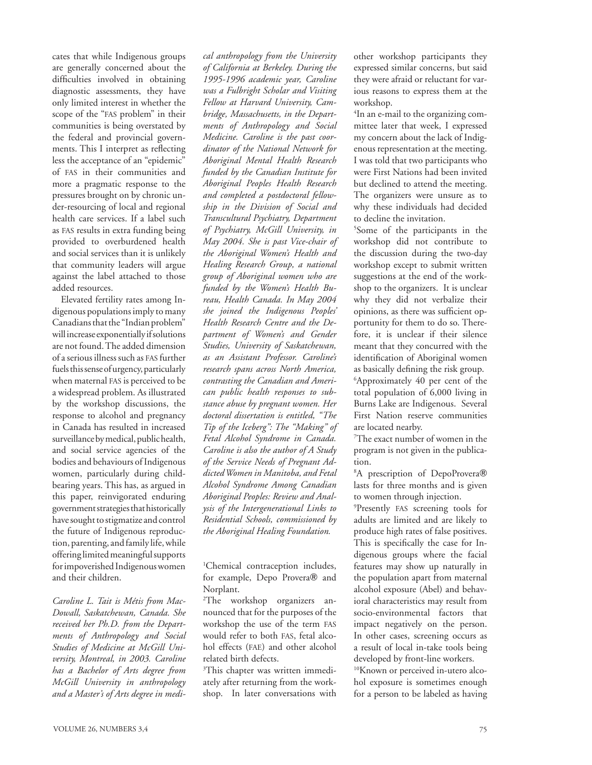cates that while Indigenous groups are generally concerned about the difficulties involved in obtaining diagnostic assessments, they have only limited interest in whether the scope of the "fas problem" in their communities is being overstated by the federal and provincial governments. This I interpret as reflecting less the acceptance of an "epidemic" of fas in their communities and more a pragmatic response to the pressures brought on by chronic under-resourcing of local and regional health care services. If a label such as fas results in extra funding being provided to overburdened health and social services than it is unlikely that community leaders will argue against the label attached to those added resources.

Elevated fertility rates among Indigenous populations imply to many Canadians that the "Indian problem" will increase exponentially if solutions are not found. The added dimension of a serious illness such as fas further fuels this sense of urgency, particularly when maternal FAS is perceived to be a widespread problem. As illustrated by the workshop discussions, the response to alcohol and pregnancy in Canada has resulted in increased surveillance by medical, public health, and social service agencies of the bodies and behaviours of Indigenous women, particularly during childbearing years. This has, as argued in this paper, reinvigorated enduring government strategies that historically have sought to stigmatize and control the future of Indigenous reproduction, parenting, and family life, while offering limited meaningful supports for impoverished Indigenous women and their children.

*Caroline L. Tait is Métis from Mac-Dowall, Saskatchewan, Canada. She received her Ph.D. from the Departments of Anthropology and Social Studies of Medicine at McGill University, Montreal, in 2003. Caroline has a Bachelor of Arts degree from McGill University in anthropology and a Master's of Arts degree in medi-*

*cal anthropology from the University of California at Berkeley. During the 1995-1996 academic year, Caroline was a Fulbright Scholar and Visiting Fellow at Harvard University, Cambridge, Massachusetts, in the Departments of Anthropology and Social Medicine. Caroline is the past coordinator of the National Network for Aboriginal Mental Health Research funded by the Canadian Institute for Aboriginal Peoples Health Research and completed a postdoctoral fellowship in the Division of Social and Transcultural Psychiatry, Department of Psychiatry, McGill University, in May 2004. She is past Vice-chair of the Aboriginal Women's Health and Healing Research Group, a national group of Aboriginal women who are funded by the Women's Health Bureau, Health Canada. In May 2004 she joined the Indigenous Peoples' Health Research Centre and the Department of Women's and Gender Studies, University of Saskatchewan, as an Assistant Professor. Caroline's research spans across North America, contrasting the Canadian and American public health responses to substance abuse by pregnant women. Her doctoral dissertation is entitled, "The Tip of the Iceberg": The "Making" of Fetal Alcohol Syndrome in Canada. Caroline is also the author of A Study of the Service Needs of Pregnant Addicted Women in Manitoba, and Fetal Alcohol Syndrome Among Canadian Aboriginal Peoples: Review and Analysis of the Intergenerational Links to Residential Schools, commissioned by the Aboriginal Healing Foundation.* 

1 Chemical contraception includes, for example, Depo Provera<sup>®</sup> and Norplant.

2 The workshop organizers announced that for the purposes of the workshop the use of the term fas would refer to both fas, fetal alcohol effects (fae) and other alcohol related birth defects.

3 This chapter was written immediately after returning from the workshop. In later conversations with other workshop participants they expressed similar concerns, but said they were afraid or reluctant for various reasons to express them at the workshop.

4 In an e-mail to the organizing committee later that week, I expressed my concern about the lack of Indigenous representation at the meeting. I was told that two participants who were First Nations had been invited but declined to attend the meeting. The organizers were unsure as to why these individuals had decided to decline the invitation.

5 Some of the participants in the workshop did not contribute to the discussion during the two-day workshop except to submit written suggestions at the end of the workshop to the organizers. It is unclear why they did not verbalize their opinions, as there was sufficient opportunity for them to do so. Therefore, it is unclear if their silence meant that they concurred with the identification of Aboriginal women as basically defining the risk group. 6 Approximately 40 per cent of the total population of 6,000 living in Burns Lake are Indigenous. Several First Nation reserve communities are located nearby.

7 The exact number of women in the program is not given in the publication.

<sup>8</sup>A prescription of DepoProvera® lasts for three months and is given to women through injection.

9 Presently fas screening tools for adults are limited and are likely to produce high rates of false positives. This is specifically the case for Indigenous groups where the facial features may show up naturally in the population apart from maternal alcohol exposure (Abel) and behavioral characteristics may result from socio-environmental factors that impact negatively on the person. In other cases, screening occurs as a result of local in-take tools being developed by front-line workers.

10Known or perceived in-utero alcohol exposure is sometimes enough for a person to be labeled as having